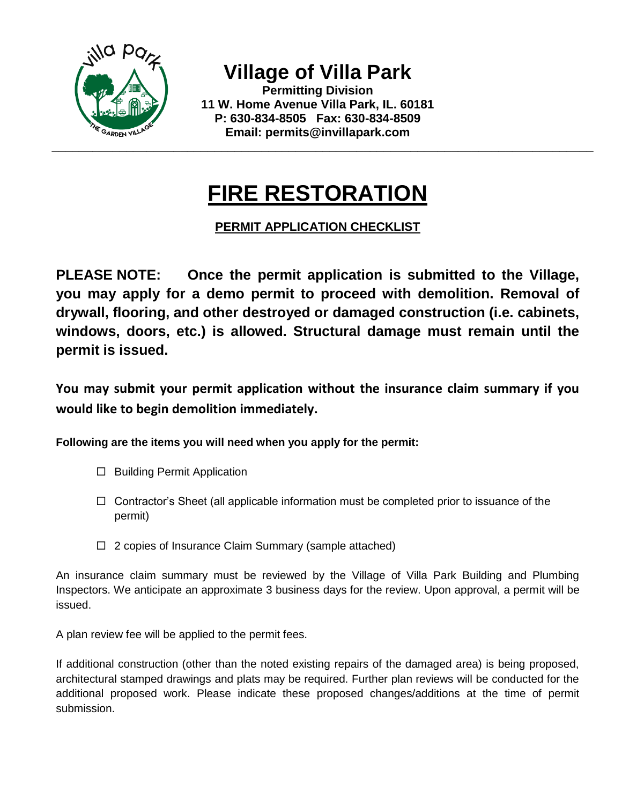

**Village of Villa Park**

**Permitting Division 11 W. Home Avenue Villa Park, IL. 60181 P: 630-834-8505 Fax: 630-834-8509 Email: permits@invillapark.com**

## **FIRE RESTORATION**

## **PERMIT APPLICATION CHECKLIST**

**PLEASE NOTE: Once the permit application is submitted to the Village, you may apply for a demo permit to proceed with demolition. Removal of drywall, flooring, and other destroyed or damaged construction (i.e. cabinets, windows, doors, etc.) is allowed. Structural damage must remain until the permit is issued.** 

**You may submit your permit application without the insurance claim summary if you would like to begin demolition immediately.**

**Following are the items you will need when you apply for the permit:**

- $\Box$  Building Permit Application
- $\Box$  Contractor's Sheet (all applicable information must be completed prior to issuance of the permit)
- $\Box$  2 copies of Insurance Claim Summary (sample attached)

An insurance claim summary must be reviewed by the Village of Villa Park Building and Plumbing Inspectors. We anticipate an approximate 3 business days for the review. Upon approval, a permit will be issued.

A plan review fee will be applied to the permit fees.

If additional construction (other than the noted existing repairs of the damaged area) is being proposed, architectural stamped drawings and plats may be required. Further plan reviews will be conducted for the additional proposed work. Please indicate these proposed changes/additions at the time of permit submission.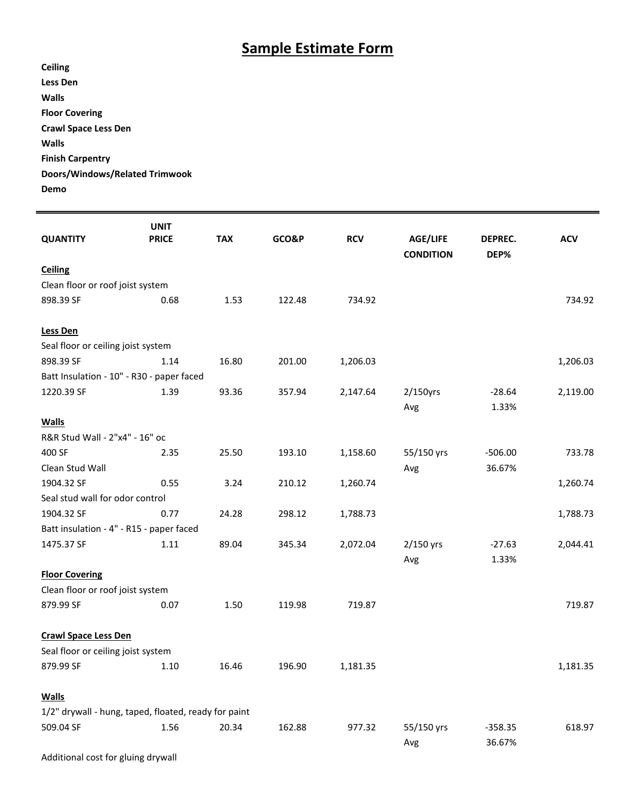## **Sample Estimate Form**

| Ceiling                        |
|--------------------------------|
| Less Den                       |
| Walls                          |
| <b>Floor Covering</b>          |
| <b>Crawl Space Less Den</b>    |
| Walls                          |
| <b>Finish Carpentry</b>        |
| Doors/Windows/Related Trimwook |
| Demo                           |

| <b>QUANTITY</b>                                      | <b>UNIT</b><br><b>PRICE</b> | <b>TAX</b> | GCO&P  | <b>RCV</b> | <b>AGE/LIFE</b><br><b>CONDITION</b> | DEPREC.<br>DEP% | <b>ACV</b> |  |  |
|------------------------------------------------------|-----------------------------|------------|--------|------------|-------------------------------------|-----------------|------------|--|--|
| Ceiling                                              |                             |            |        |            |                                     |                 |            |  |  |
| Clean floor or roof joist system                     |                             |            |        |            |                                     |                 |            |  |  |
| 898.39 SF                                            | 0.68                        | 1.53       | 122.48 | 734.92     |                                     |                 | 734.92     |  |  |
|                                                      |                             |            |        |            |                                     |                 |            |  |  |
| <b>Less Den</b>                                      |                             |            |        |            |                                     |                 |            |  |  |
| Seal floor or ceiling joist system                   |                             |            |        |            |                                     |                 |            |  |  |
| 898.39 SF                                            | 1.14                        | 16.80      | 201.00 | 1,206.03   |                                     |                 | 1,206.03   |  |  |
| Batt Insulation - 10" - R30 - paper faced            |                             |            |        |            |                                     |                 |            |  |  |
| 1220.39 SF                                           | 1.39                        | 93.36      | 357.94 | 2,147.64   | $2/150$ yrs                         | $-28.64$        | 2,119.00   |  |  |
|                                                      |                             |            |        |            | Avg                                 | 1.33%           |            |  |  |
| <b>Walls</b>                                         |                             |            |        |            |                                     |                 |            |  |  |
| R&R Stud Wall - 2"x4" - 16" oc                       |                             |            |        |            |                                     |                 |            |  |  |
| 400 SF                                               | 2.35                        | 25.50      | 193.10 | 1,158.60   | 55/150 yrs                          | $-506.00$       | 733.78     |  |  |
| Clean Stud Wall                                      |                             |            |        |            | Avg                                 | 36.67%          |            |  |  |
| 1904.32 SF                                           | 0.55                        | 3.24       | 210.12 | 1,260.74   |                                     |                 | 1,260.74   |  |  |
| Seal stud wall for odor control                      |                             |            |        |            |                                     |                 |            |  |  |
| 1904.32 SF                                           | 0.77                        | 24.28      | 298.12 | 1,788.73   |                                     |                 | 1,788.73   |  |  |
| Batt insulation - 4" - R15 - paper faced             |                             |            |        |            |                                     |                 |            |  |  |
| 1475.37 SF                                           | 1.11                        | 89.04      | 345.34 | 2,072.04   | $2/150$ yrs                         | $-27.63$        | 2,044.41   |  |  |
|                                                      |                             |            |        |            | Avg                                 | 1.33%           |            |  |  |
| <b>Floor Covering</b>                                |                             |            |        |            |                                     |                 |            |  |  |
| Clean floor or roof joist system                     |                             |            |        |            |                                     |                 |            |  |  |
| 879.99 SF                                            | 0.07                        | 1.50       | 119.98 | 719.87     |                                     |                 | 719.87     |  |  |
|                                                      |                             |            |        |            |                                     |                 |            |  |  |
| <b>Crawl Space Less Den</b>                          |                             |            |        |            |                                     |                 |            |  |  |
| Seal floor or ceiling joist system                   |                             |            |        |            |                                     |                 |            |  |  |
| 879.99 SF                                            | 1.10                        | 16.46      | 196.90 | 1,181.35   |                                     |                 | 1,181.35   |  |  |
|                                                      |                             |            |        |            |                                     |                 |            |  |  |
| <b>Walls</b>                                         |                             |            |        |            |                                     |                 |            |  |  |
| 1/2" drywall - hung, taped, floated, ready for paint |                             |            |        |            |                                     |                 |            |  |  |
| 509.04 SF                                            | 1.56                        | 20.34      | 162.88 | 977.32     | 55/150 yrs                          | $-358.35$       | 618.97     |  |  |
|                                                      |                             |            |        |            | Avg                                 | 36.67%          |            |  |  |

Additional cost for gluing drywall